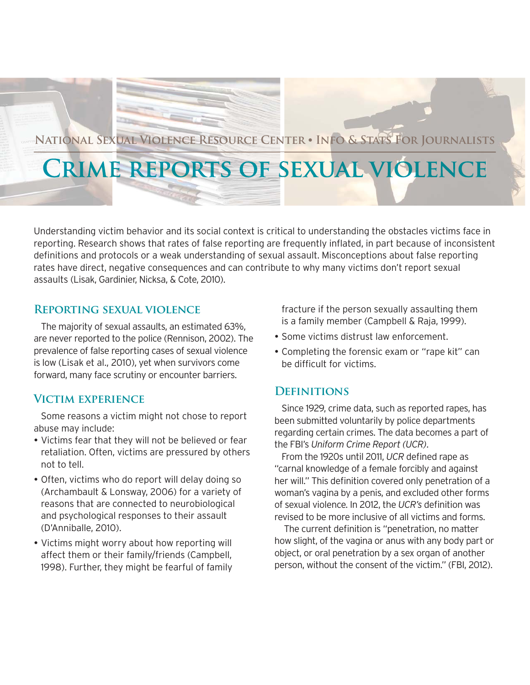

# **National Sexual Violence Resource Center** z **Info & Stats For Journalists**

# **Crime reports of sexual violence**

Understanding victim behavior and its social context is critical to understanding the obstacles victims face in reporting. Research shows that rates of false reporting are frequently inflated, in part because of inconsistent definitions and protocols or a weak understanding of sexual assault. Misconceptions about false reporting rates have direct, negative consequences and can contribute to why many victims don't report sexual assaults (Lisak, Gardinier, Nicksa, & Cote, 2010).

#### **Reporting sexual violence**

The majority of sexual assaults, an estimated 63%, are never reported to the police (Rennison, 2002). The prevalence of false reporting cases of sexual violence is low (Lisak et al., 2010), yet when survivors come forward, many face scrutiny or encounter barriers.

## **Victim experience**

Some reasons a victim might not chose to report abuse may include:

- Victims fear that they will not be believed or fear retaliation. Often, victims are pressured by others not to tell.
- Often, victims who do report will delay doing so (Archambault & Lonsway, 2006) for a variety of reasons that are connected to neurobiological and psychological responses to their assault (D'Anniballe, 2010).
- Victims might worry about how reporting will affect them or their family/friends (Campbell, 1998). Further, they might be fearful of family

fracture if the person sexually assaulting them is a family member (Campbell & Raja, 1999).

- Some victims distrust law enforcement.
- Completing the forensic exam or "rape kit" can be difficult for victims.

### **Definitions**

Since 1929, crime data, such as reported rapes, has been submitted voluntarily by police departments regarding certain crimes. The data becomes a part of the FBI's *Uniform Crime Report (UCR)*.

From the 1920s until 2011, *UCR* defined rape as "carnal knowledge of a female forcibly and against her will." This definition covered only penetration of a woman's vagina by a penis, and excluded other forms of sexual violence. In 2012, the *UCR's* definition was revised to be more inclusive of all victims and forms.

 The current definition is "penetration, no matter how slight, of the vagina or anus with any body part or object, or oral penetration by a sex organ of another person, without the consent of the victim." (FBI, 2012).